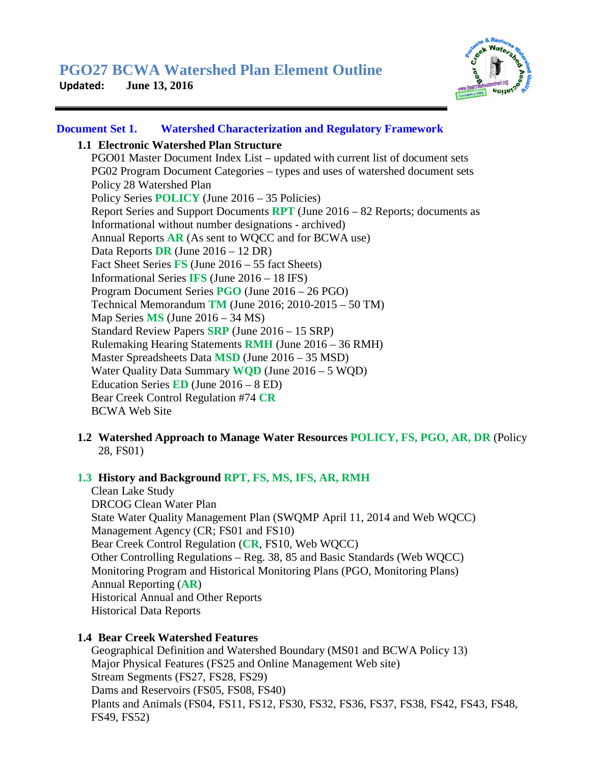

### **Document Set 1. Watershed Characterization and Regulatory Framework**

### **1.1 Electronic Watershed Plan Structure**

PGO01 Master Document Index List – updated with current list of document sets PG02 Program Document Categories – types and uses of watershed document sets Policy 28 Watershed Plan Policy Series **POLICY** (June 2016 – 35 Policies) Report Series and Support Documents **RPT** (June 2016 – 82 Reports; documents as Informational without number designations - archived) Annual Reports **AR** (As sent to WQCC and for BCWA use) Data Reports **DR** (June 2016 – 12 DR) Fact Sheet Series **FS** (June 2016 – 55 fact Sheets) Informational Series **IFS** (June 2016 – 18 IFS) Program Document Series **PGO** (June 2016 – 26 PGO) Technical Memorandum **TM** (June 2016; 2010-2015 – 50 TM) Map Series **MS** (June 2016 – 34 MS) Standard Review Papers **SRP** (June 2016 – 15 SRP) Rulemaking Hearing Statements **RMH** (June 2016 – 36 RMH) Master Spreadsheets Data **MSD** (June 2016 – 35 MSD) Water Quality Data Summary **WQD** (June 2016 – 5 WQD) Education Series **ED** (June 2016 – 8 ED) Bear Creek Control Regulation #74 **CR** BCWA Web Site

**1.2 Watershed Approach to Manage Water Resources POLICY, FS, PGO, AR, DR** (Policy 28, FS01)

# **1.3 History and Background RPT, FS, MS, IFS, AR, RMH**

Clean Lake Study DRCOG Clean Water Plan State Water Quality Management Plan (SWQMP April 11, 2014 and Web WQCC) Management Agency (CR; FS01 and FS10) Bear Creek Control Regulation (**CR**, FS10, Web WQCC) Other Controlling Regulations – Reg. 38, 85 and Basic Standards (Web WQCC) Monitoring Program and Historical Monitoring Plans (PGO, Monitoring Plans) Annual Reporting (**AR**) Historical Annual and Other Reports Historical Data Reports

#### **1.4 Bear Creek Watershed Features**

Geographical Definition and Watershed Boundary (MS01 and BCWA Policy 13) Major Physical Features (FS25 and Online Management Web site) Stream Segments (FS27, FS28, FS29) Dams and Reservoirs (FS05, FS08, FS40) Plants and Animals (FS04, FS11, FS12, FS30, FS32, FS36, FS37, FS38, FS42, FS43, FS48, FS49, FS52)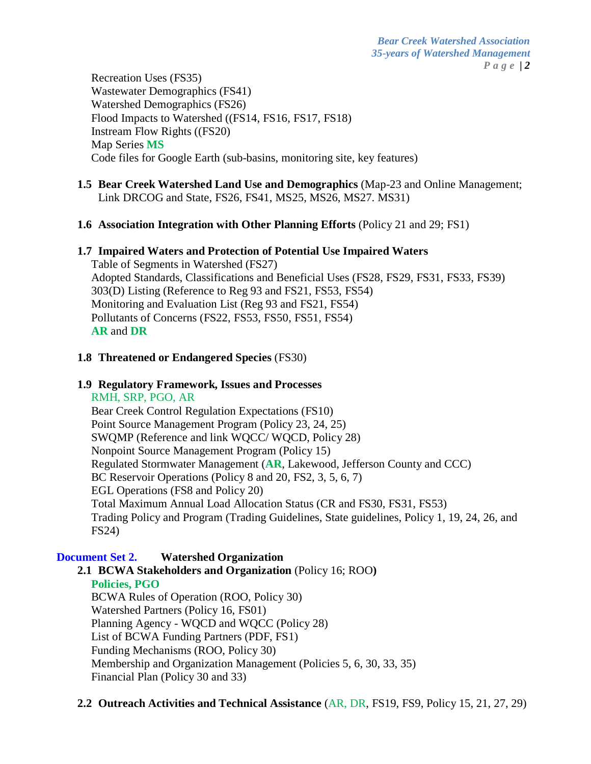Recreation Uses (FS35) Wastewater Demographics (FS41) Watershed Demographics (FS26) Flood Impacts to Watershed ((FS14, FS16, FS17, FS18) Instream Flow Rights ((FS20) Map Series **MS** Code files for Google Earth (sub-basins, monitoring site, key features)

# **1.5 Bear Creek Watershed Land Use and Demographics** (Map-23 and Online Management; Link DRCOG and State, FS26, FS41, MS25, MS26, MS27. MS31)

# **1.6 Association Integration with Other Planning Efforts** (Policy 21 and 29; FS1)

# **1.7 Impaired Waters and Protection of Potential Use Impaired Waters**

Table of Segments in Watershed (FS27) Adopted Standards, Classifications and Beneficial Uses (FS28, FS29, FS31, FS33, FS39) 303(D) Listing (Reference to Reg 93 and FS21, FS53, FS54) Monitoring and Evaluation List (Reg 93 and FS21, FS54) Pollutants of Concerns (FS22, FS53, FS50, FS51, FS54) **AR** and **DR**

# **1.8 Threatened or Endangered Species** (FS30)

### **1.9 Regulatory Framework, Issues and Processes**

RMH, SRP, PGO, AR Bear Creek Control Regulation Expectations (FS10) Point Source Management Program (Policy 23, 24, 25) SWQMP (Reference and link WQCC/ WQCD, Policy 28) Nonpoint Source Management Program (Policy 15) Regulated Stormwater Management (**AR**, Lakewood, Jefferson County and CCC) BC Reservoir Operations (Policy 8 and 20, FS2, 3, 5, 6, 7) EGL Operations (FS8 and Policy 20) Total Maximum Annual Load Allocation Status (CR and FS30, FS31, FS53) Trading Policy and Program (Trading Guidelines, State guidelines, Policy 1, 19, 24, 26, and FS24)

# **Document Set 2. Watershed Organization**

**2.1 BCWA Stakeholders and Organization** (Policy 16; ROO**) Policies, PGO** BCWA Rules of Operation (ROO, Policy 30) Watershed Partners (Policy 16, FS01) Planning Agency - WQCD and WQCC (Policy 28) List of BCWA Funding Partners (PDF, FS1) Funding Mechanisms (ROO, Policy 30) Membership and Organization Management (Policies 5, 6, 30, 33, 35) Financial Plan (Policy 30 and 33)

**2.2 Outreach Activities and Technical Assistance** (AR, DR, FS19, FS9, Policy 15, 21, 27, 29)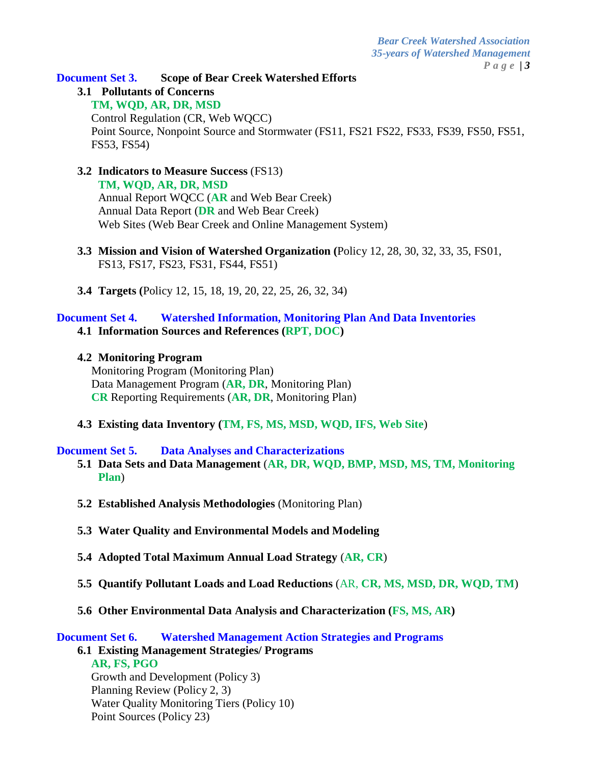**Document Set 3. Scope of Bear Creek Watershed Efforts**

**3.1 Pollutants of Concerns**

**TM, WQD, AR, DR, MSD**

Control Regulation (CR, Web WQCC) Point Source, Nonpoint Source and Stormwater (FS11, FS21 FS22, FS33, FS39, FS50, FS51, FS53, FS54)

- **3.2 Indicators to Measure Success** (FS13) **TM, WQD, AR, DR, MSD** Annual Report WQCC (**AR** and Web Bear Creek) Annual Data Report (**DR** and Web Bear Creek) Web Sites (Web Bear Creek and Online Management System)
- **3.3 Mission and Vision of Watershed Organization (**Policy 12, 28, 30, 32, 33, 35, FS01, FS13, FS17, FS23, FS31, FS44, FS51)
- **3.4 Targets (**Policy 12, 15, 18, 19, 20, 22, 25, 26, 32, 34)

# **Document Set 4. Watershed Information, Monitoring Plan And Data Inventories 4.1 Information Sources and References (RPT, DOC)**

#### **4.2 Monitoring Program**

Monitoring Program (Monitoring Plan) Data Management Program (**AR, DR**, Monitoring Plan) **CR** Reporting Requirements (**AR, DR**, Monitoring Plan)

**4.3 Existing data Inventory (TM, FS, MS, MSD, WQD, IFS, Web Site**)

#### **Document Set 5. Data Analyses and Characterizations**

- **5.1 Data Sets and Data Management** (**AR, DR, WQD, BMP, MSD, MS, TM, Monitoring Plan**)
- **5.2 Established Analysis Methodologies** (Monitoring Plan)
- **5.3 Water Quality and Environmental Models and Modeling**
- **5.4 Adopted Total Maximum Annual Load Strategy** (**AR, CR**)
- **5.5 Quantify Pollutant Loads and Load Reductions** (AR, **CR, MS, MSD, DR, WQD, TM**)
- **5.6 Other Environmental Data Analysis and Characterization (FS, MS, AR)**

**Document Set 6. Watershed Management Action Strategies and Programs**

**6.1 Existing Management Strategies/ Programs AR, FS, PGO** Growth and Development (Policy 3) Planning Review (Policy 2, 3) Water Quality Monitoring Tiers (Policy 10) Point Sources (Policy 23)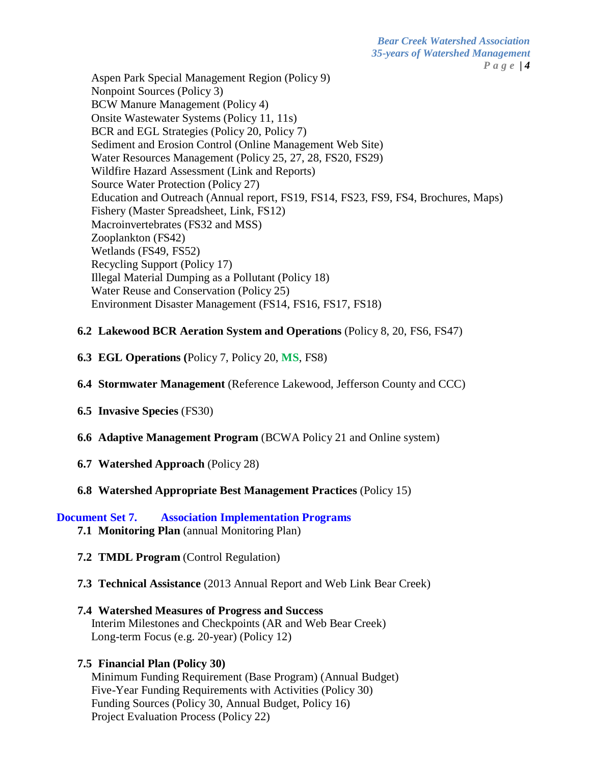*Bear Creek Watershed Association 35-years of Watershed Management Page | 4*

Aspen Park Special Management Region (Policy 9) Nonpoint Sources (Policy 3) BCW Manure Management (Policy 4) Onsite Wastewater Systems (Policy 11, 11s) BCR and EGL Strategies (Policy 20, Policy 7) Sediment and Erosion Control (Online Management Web Site) Water Resources Management (Policy 25, 27, 28, FS20, FS29) Wildfire Hazard Assessment (Link and Reports) Source Water Protection (Policy 27) Education and Outreach (Annual report, FS19, FS14, FS23, FS9, FS4, Brochures, Maps) Fishery (Master Spreadsheet, Link, FS12) Macroinvertebrates (FS32 and MSS) Zooplankton (FS42) Wetlands (FS49, FS52) Recycling Support (Policy 17) Illegal Material Dumping as a Pollutant (Policy 18) Water Reuse and Conservation (Policy 25) Environment Disaster Management (FS14, FS16, FS17, FS18)

#### **6.2 Lakewood BCR Aeration System and Operations** (Policy 8, 20, FS6, FS47)

- **6.3 EGL Operations (**Policy 7, Policy 20, **MS**, FS8)
- **6.4 Stormwater Management** (Reference Lakewood, Jefferson County and CCC)
- **6.5 Invasive Species** (FS30)
- **6.6 Adaptive Management Program** (BCWA Policy 21 and Online system)
- **6.7 Watershed Approach** (Policy 28)

#### **6.8 Watershed Appropriate Best Management Practices** (Policy 15)

#### **Document Set 7. Association Implementation Programs**

- **7.1 Monitoring Plan** (annual Monitoring Plan)
- **7.2 TMDL Program** (Control Regulation)
- **7.3 Technical Assistance** (2013 Annual Report and Web Link Bear Creek)
- **7.4 Watershed Measures of Progress and Success** Interim Milestones and Checkpoints (AR and Web Bear Creek) Long-term Focus (e.g. 20-year) (Policy 12)

# **7.5 Financial Plan (Policy 30)**

Minimum Funding Requirement (Base Program) (Annual Budget) Five-Year Funding Requirements with Activities (Policy 30) Funding Sources (Policy 30, Annual Budget, Policy 16) Project Evaluation Process (Policy 22)